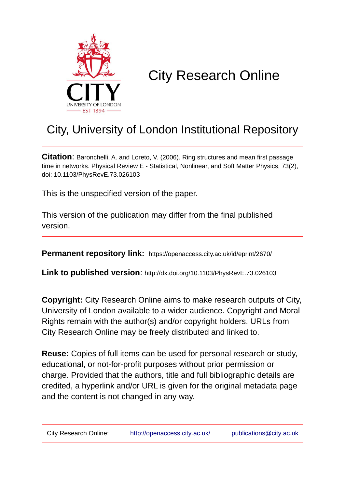

# City Research Online

## City, University of London Institutional Repository

**Citation**: Baronchelli, A. and Loreto, V. (2006). Ring structures and mean first passage time in networks. Physical Review E - Statistical, Nonlinear, and Soft Matter Physics, 73(2), doi: 10.1103/PhysRevE.73.026103

This is the unspecified version of the paper.

This version of the publication may differ from the final published version.

**Permanent repository link:** https://openaccess.city.ac.uk/id/eprint/2670/

**Link to published version**: http://dx.doi.org/10.1103/PhysRevE.73.026103

**Copyright:** City Research Online aims to make research outputs of City, University of London available to a wider audience. Copyright and Moral Rights remain with the author(s) and/or copyright holders. URLs from City Research Online may be freely distributed and linked to.

**Reuse:** Copies of full items can be used for personal research or study, educational, or not-for-profit purposes without prior permission or charge. Provided that the authors, title and full bibliographic details are credited, a hyperlink and/or URL is given for the original metadata page and the content is not changed in any way.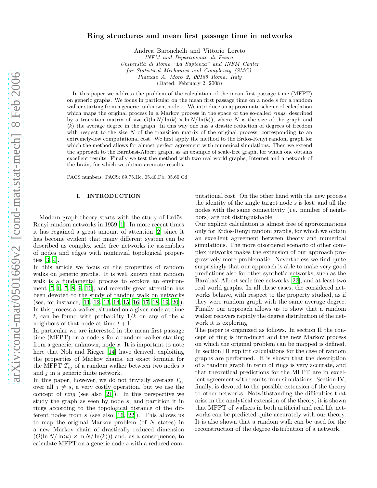# arXiv:cond-mat/0501669v2 [cond-mat.stat-mech] 8 Feb 2006 [arXiv:cond-mat/0501669v2 \[cond-mat.stat-mech\] 8 Feb 2006](http://arXiv.org/abs/cond-mat/0501669v2)

### Ring structures and mean first passage time in networks

Andrea Baronchelli and Vittorio Loreto *INFM and Dipartimento di Fisica, Universit`a di Roma "La Sapienza" and INFM Center for Statistical Mechanics and Complexity (SMC), Piazzale A. Moro 2, 00185 Roma, Italy* (Dated: February 2, 2008)

In this paper we address the problem of the calculation of the mean first passage time (MFPT) on generic graphs. We focus in particular on the mean first passage time on a node s for a random walker starting from a generic, unknown, node  $x$ . We introduce an approximate scheme of calculation which maps the original process in a Markov process in the space of the so-called *rings*, described by a transition matrix of size  $O(\ln N/\ln\langle k \rangle \times \ln N/\ln\langle k \rangle)$ , where N is the size of the graph and  $\langle k \rangle$  the average degree in the graph. In this way one has a drastic reduction of degrees of freedom with respect to the size  $N$  of the transition matrix of the original process, corresponding to an extremely-low computational cost. We first apply the method to the Erdös-Renyi random graph for which the method allows for almost perfect agreement with numerical simulations. Then we extend the approach to the Barabasi-Albert graph, as an example of scale-free graph, for which one obtains excellent results. Finally we test the method with two real world graphs, Internet and a network of the brain, for which we obtain accurate results.

PACS numbers: PACS: 89.75.Hc, 05.40.Fb, 05.60.Cd

### I. INTRODUCTION

Modern graph theory starts with the study of Erdös-Renyi random networks in 1959 [\[1\]](#page-7-0). In more recent times it has regained a great amount of attention [\[2](#page-7-1)] since it has become evident that many different system can be described as complex scale free networks i.e assemblies of nodes and edges with nontrivial topological properties [\[3](#page-7-2), [4](#page-7-3)].

In this article we focus on the properties of random walks on generic graphs. It is well known that random walk is a fundamental process to explore an environment [\[5](#page-7-4), [6,](#page-7-5) [7,](#page-7-6) [8](#page-7-7), [9,](#page-7-8) [10](#page-7-9)], and recently great attention has been devoted to the study of random walk on networks (see, for instance, [\[11](#page-7-10), [12](#page-7-11), [13,](#page-7-12) [14,](#page-7-13) [15,](#page-7-14) [16,](#page-7-15) [17,](#page-7-16) [18,](#page-7-17) [19,](#page-7-18) [20\]](#page-8-0)). In this process a walker, situated on a given node at time t, can be found with probability  $1/k$  on any of the k neighbors of that node at time  $t + 1$ .

In particular we are interested in the mean first passage time (MFPT) on a node s for a random walker starting from a generic, unknown, node  $x$ . It is important to note here that Noh and Rieger [\[14\]](#page-7-13) have derived, exploiting the properties of Markov chains, an exact formula for the MFPT  $T_{sj}$  of a random walker between two nodes s and  $j$  in a generic finite network.

In this paper, however, we do not trivially average  $T_{si}$ over all  $j \neq s$ , a very costly operation, but we use the concept of *ring* (see also [\[21\]](#page-8-1)). In this perspective we study the graph as seen by node s, and partition it in rings according to the topological distance of the different nodes from  $s$  (see also [\[16,](#page-7-15) [22](#page-8-2)]). This allows us to map the original Markov problem (of N states) in a new Markov chain of drastically reduced dimension  $(O(\ln N/\ln\langle k\rangle \times \ln N/\ln\langle k\rangle))$  and, as a consequence, to calculate MFPT on a generic node s with a reduced com-

putational cost. On the other hand with the new process the identity of the single target node s is lost, and all the nodes with the same connectivity (i.e. number of neighbors) are not distinguishable.

Our explicit calculation is almost free of approximations only for Erdös-Renyi random graphs, for which we obtain an excellent agreement between theory and numerical simulations. The more disordered scenario of other complex networks makes the extension of our approach progressively more problematic. Nevertheless we find quite surprisingly that our approach is able to make very good predictions also for other synthetic networks, such as the Barabasi-Albert scale free networks [\[23](#page-8-3)], and at least two real world graphs. In all these cases, the considered networks behave, with respect to the property studied, as if they were random graph with the same average degree. Finally our approach allows us to show that a random walker recovers rapidly the degree distribution of the network it is exploring.

The paper is organized as follows. In section II the concept of ring is introduced and the new Markov process on which the original problem can be mapped is defined. In section III explicit calculations for the case of random graphs are performed. It is shown that the description of a random graph in term of rings is very accurate, and that theoretical predictions for the MFPT are in excellent agreement with results from simulations. Section IV, finally, is devoted to the possible extension of the theory to other networks. Notwithstanding the difficulties that arise in the analytical extension of the theory, it is shown that MFPT of walkers in both artificial and real life networks can be predicted quite accurately with our theory. It is also shown that a random walk can be used for the reconstruction of the degree distribution of a network.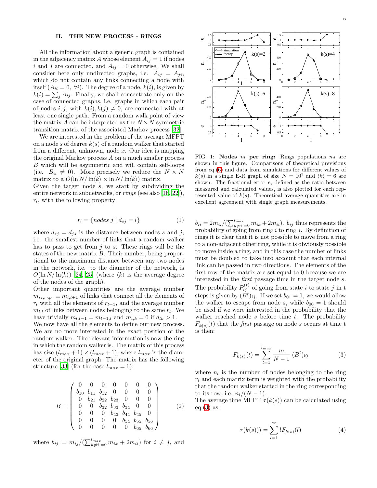### II. THE NEW PROCESS - RINGS

All the information about a generic graph is contained in the adjacency matrix A whose element  $A_{ij} = 1$  if nodes i and j are connected, and  $A_{ij} = 0$  otherwise. We shall consider here only undirected graphs, i.e.  $A_{ij} = A_{ji}$ , which do not contain any links connecting a node with itself  $(A_{ii} = 0, \forall i)$ . The degree of a node,  $k(i)$ , is given by  $k(i) = \sum_j A_{ij}$ . Finally, we shall concentrate only on the case of connected graphs, i.e. graphs in which each pair of nodes i, j, with  $k(i)$ ,  $k(j) \neq 0$ , are connected with at least one single path. From a random walk point of view the matrix A can be interpreted as the  $N \times N$  symmetric transition matrix of the associated Markov process [\[32\]](#page-8-4).

We are interested in the problem of the average MFPT on a node s of degree  $k(s)$  of a random walker that started from a different, unknown, node  $x$ . Our idea is mapping the original Markov process A on a much smaller process B which will be asymmetric and will contain self-loops (i.e.  $B_{ii} \neq 0$ ). More precisely we reduce the  $N \times N$ matrix to a  $O(\ln N/\ln\langle k \rangle \times \ln N/\ln\langle k \rangle)$  matrix.

Given the target node s, we start by subdividing the entire network in subnetworks, or *rings* (see also [\[16](#page-7-15), [22\]](#page-8-2)),  $r_l$ , with the following property:

$$
r_l = \{nodes \ j \ | \ d_{sj} = l\} \tag{1}
$$

where  $d_{sj} = d_{js}$  is the distance between nodes s and j, i.e. the smallest number of links that a random walker has to pass to get from  $j$  to  $s$ . These rings will be the states of the new matrix B. Their number, being proportional to the maximum distance between any two nodes in the network, i.e. to the diameter of the network, is  $O(\ln N/\ln\langle k \rangle)$  [\[24,](#page-8-5) [25\]](#page-8-6) (where  $\langle k \rangle$  is the average degree of the nodes of the graph).

Other important quantities are the average number  $m_{r_l,r_{l+1}} \equiv m_{l,l+1}$  of links that connect all the elements of  $r_l$  with all the elements of  $r_{l+1}$ , and the average number  $m_{l,l}$  of links between nodes belonging to the same  $r_l$ . We have trivially  $m_{l,l-1} = m_{l-1,l}$  and  $m_{l,k} = 0$  if  $d_{lk} > 1$ .

We now have all the elements to define our new process. We are no more interested in the exact position of the random walker. The relevant information is now the ring in which the random walker is. The matrix of this process has size  $(l_{max} + 1) \times (l_{max} + 1)$ , where  $l_{max}$  is the diameter of the original graph. The matrix has the following structure [\[33\]](#page-8-7) (for the case  $l_{max} = 6$ ):

<span id="page-2-2"></span>
$$
B = \begin{pmatrix} 0 & 0 & 0 & 0 & 0 & 0 & 0 \\ b_{10} & b_{11} & b_{12} & 0 & 0 & 0 & 0 \\ 0 & b_{21} & b_{22} & b_{23} & 0 & 0 & 0 \\ 0 & 0 & b_{32} & b_{33} & b_{34} & 0 & 0 \\ 0 & 0 & 0 & b_{43} & b_{44} & b_{45} & 0 \\ 0 & 0 & 0 & 0 & b_{54} & b_{55} & b_{56} \\ 0 & 0 & 0 & 0 & 0 & b_{65} & b_{66} \end{pmatrix}
$$
(2)

where  $b_{ij} = m_{ij}/(\sum_{k \neq i=0}^{l_{max}} m_{ik} + 2m_{ii})$  for  $i \neq j$ , and



<span id="page-2-1"></span>FIG. 1: Nodes  $n_l$  per ring: Rings populations  $n_d$  are shown in this figure. Comparisons of theoretical previsions from eq.[\(6\)](#page-3-0) and data from simulations for different values of  $k(s)$  in a single E-R graph of size  $N = 10^3$  and  $\langle k \rangle = 6$  are shown. The fractional error e, defined as the ratio between measured and calculated values, is also plotted for each represented value of  $k(s)$ . Theoretical average quantities are in excellent agreement with single graph measurements.

 $b_{ii} = 2m_{ii}/(\sum_{k \neq i=0}^{l_{max}} m_{ik} + 2m_{ii})$ .  $b_{ij}$  thus represents the probability of going from ring  $i$  to ring  $j$ . By definition of rings it is clear that it is not possible to move from a ring to a non-adjacent other ring, while it is obviously possible to move inside a ring, and in this case the number of links must be doubled to take into account that each internal link can be passed in two directions. The elements of the first row of the matrix are set equal to 0 because we are interested in the first passage time in the target node s. The probability  $P_{ij}^{(t)}$  of going from state i to state j in t steps is given by  $(\dot{B}^t)_{ij}$ . If we set  $b_{01} = 1$ , we would allow the walker to escape from node s, while  $b_{00} = 1$  should be used if we were interested in the probability that the walker reached node s before time  $t$ . The probability  $F_{k(s)}(t)$  that the *first* passage on node s occurs at time t is then:

$$
F_{k(s)}(t) = \sum_{l=1}^{l_{max}} \frac{n_l}{N-1} (B^t)_{l0}
$$
 (3)

<span id="page-2-0"></span>where  $n_l$  is the number of nodes belonging to the ring  $r_l$  and each matrix term is weighted with the probability that the random walker started in the ring corresponding to its row, i.e.  $n_l/(N-1)$ .

<span id="page-2-3"></span>The average time MFPT  $\tau(k(s))$  can be calculated using eq. $(3)$  as:

$$
\tau(k(s))) = \sum_{l=1}^{\infty} l F_{k(s)}(l)
$$
\n(4)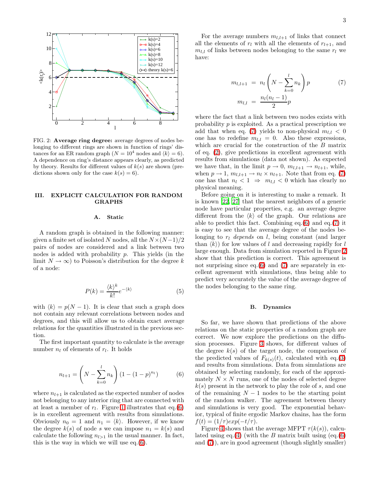

<span id="page-3-2"></span>FIG. 2: Average ring degree: average degrees of nodes belonging to different rings are shown in function of rings' distances for an ER random graph  $(N = 10^4 \text{ nodes and } \langle k \rangle = 6)$ . A dependence on ring's distance appears clearly, as predicted by theory. Results for different values of  $k(s)$  are shown (predictions shown only for the case  $k(s) = 6$ .

### III. EXPLICIT CALCULATION FOR RANDOM GRAPHS

### A. Static

A random graph is obtained in the following manner: given a finite set of isolated N nodes, all the  $N \times (N-1)/2$ pairs of nodes are considered and a link between two nodes is added with probability  $p$ . This yields (in the limit  $N \to \infty$ ) to Poisson's distribution for the degree k of a node:

$$
P(k) = \frac{\langle k \rangle^k}{k!} e^{-\langle k \rangle} \tag{5}
$$

<span id="page-3-3"></span>with  $\langle k \rangle = p(N - 1)$ . It is clear that such a graph does not contain any relevant correlations between nodes and degrees, and this will allow us to obtain exact average relations for the quantities illustrated in the previous section.

<span id="page-3-0"></span>The first important quantity to calculate is the average number  $n_l$  of elements of  $r_l$ . It holds

$$
n_{l+1} = \left(N - \sum_{k=0}^{l} n_k\right) \left(1 - (1 - p)^{n_l}\right) \tag{6}
$$

where  $n_{l+1}$  is calculated as the expected number of nodes not belonging to any interior ring that are connected with at least a member of  $r_l$ . Figure [1](#page-2-1) illustrates that eq.[\(6\)](#page-3-0) is in excellent agreement with results from simulations. Obviously  $n_0 = 1$  and  $n_1 = \langle k \rangle$ . However, if we know the degree  $k(s)$  of node s we can impose  $n_1 = k(s)$  and calculate the following  $n_{l>1}$  in the usual manner. In fact, this is the way in which we will use eq.[\(6\)](#page-3-0).

For the average numbers  $m_{l,l+1}$  of links that connect all the elements of  $r_l$  with all the elements of  $r_{l+1}$ , and  $m_{l,l}$  of links between nodes belonging to the same  $r_l$  we have:

$$
m_{l,l+1} = n_l \left( N - \sum_{k=0}^{l} n_k \right) p \tag{7}
$$

$$
m_{l,l} = \frac{n_l (n_l - 1)}{2} p
$$

<span id="page-3-1"></span>where the fact that a link between two nodes exists with probability p is exploited. As a practical prescription we add that when eq. [\(7\)](#page-3-1) yields to non-physical  $m_{l,l} < 0$ one has to redefine  $m_{l,l} = 0$ . Also these expressions, which are crucial for the construction of the B matrix of eq. [\(2\)](#page-2-2), give predictions in excellent agreement with results from simulations (data not shown). As expected we have that, in the limit  $p \to 0$ ,  $m_{l,l+1} \to n_{l+1}$ , while, when  $p \to 1$ ,  $m_{l,l+1} \to n_l \times n_{l+1}$ . Note that from eq. [\(7\)](#page-3-1) one has that  $n_l < 1 \Rightarrow m_{l,l} < 0$  which has clearly no physical meaning.

Before going on it is interesting to make a remark. It is known [\[22,](#page-8-2) [27\]](#page-8-8) that the nearest neighbors of a generic node have particular properties, e.g. an average degree different from the  $\langle k \rangle$  of the graph. Our relations are able to predict this fact. Combining eq.[\(6\)](#page-3-0) and eq.[\(7\)](#page-3-1) it is easy to see that the average degree of the nodes belonging to  $r_l$  depends on l, being constant (and larger than  $\langle k \rangle$  for low values of l and decreasing rapidly for l large enough. Data from simulation reported in Figure [2](#page-3-2) show that this prediction is correct. This agreement is not surprising since eq.[\(6\)](#page-3-0) and [\(7\)](#page-3-1) are separately in excellent agreement with simulations, thus being able to predict very accurately the value of the average degree of the nodes belonging to the same ring.

### B. Dynamics

So far, we have shown that predictions of the above relations on the static properties of a random graph are correct. We now explore the predictions on the diffusion processes. Figure [3](#page-4-0) shows, for different values of the degree  $k(s)$  of the target node, the comparison of the predicted values of  $F_{k(s)}(t)$ , calculated with eq.[\(3\)](#page-2-0) and results from simulations. Data from simulations are obtained by selecting randomly, for each of the approximately  $N \times N$  runs, one of the nodes of selected degree  $k(s)$  present in the network to play the role of s, and one of the remaining  $N-1$  nodes to be the starting point of the random walker. The agreement between theory and simulations is very good. The exponential behavior, typical of finite ergodic Markov chains, has the form  $f(t) = (1/\tau) exp(-t/\tau).$ 

Figure [4](#page-4-1) shows that the average MFPT  $\tau(k(s))$ , calcu-lated using eq.[\(4\)](#page-2-3) (with the B matrix built using (eq.[\(6\)](#page-3-0) and [\(7\)](#page-3-1)), are in good agreement (though slightly smaller)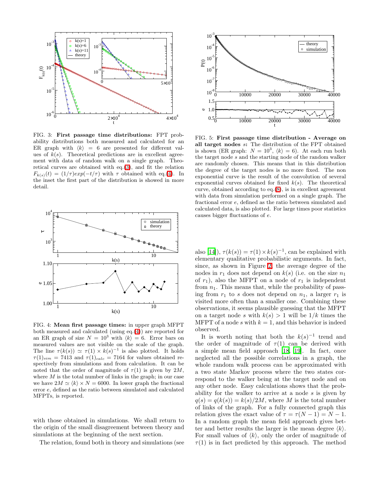

<span id="page-4-0"></span>FIG. 3: First passage time distributions: FPT probability distributions both measured and calculated for an ER graph with  $\langle k \rangle = 6$  are presented for different values of  $k(s)$ . Theoretical predictions are in excellent agreement with data of random walk on a single graph. Theoretical curves are obtained with eq.[\(3\)](#page-2-0), and fit the relation  $F_{k(s)}(t) = (1/\tau) exp(-t/\tau)$  with  $\tau$  obtained with eq.[\(4\)](#page-2-3). In the inset the first part of the distribution is showed in more detail.



<span id="page-4-1"></span>FIG. 4: Mean first passage times: in upper graph MFPT both measured and calculated (using eq.[\(4\)](#page-2-3)) are reported for an ER graph of size  $N = 10^3$  with  $\langle k \rangle = 6$ . Error bars on measured values are not visible on the scale of the graph. The line  $\tau(k(s)) \simeq \tau(1) \times k(s)^{-1}$  is also plotted. It holds  $\tau(1)_{sim} = 7413$  and  $\tau(1)_{calc} = 7164$  for values obtained respectively from simulations and from calculation. It can be noted that the order of magnitude of  $\tau(1)$  is given by 2*M*, where  $M$  is the total number of links in the graph; in our case we have  $2M \simeq \langle k \rangle \times N = 6000$ . In lower graph the fractional error e, defined as the ratio between simulated and calculated MFPTs, is reported.

with those obtained in simulations. We shall return to the origin of the small disagreement between theory and simulations at the beginning of the next section.

The relation, found both in theory and simulations (see



<span id="page-4-2"></span>FIG. 5: First passage time distribution - Average on all target nodes s: The distribution of the FPT obtained is shown (ER graph:  $N = 10^3$ ,  $\langle k \rangle = 6$ ). At each run both the target node s and the starting node of the random walker are randomly chosen. This means that in this distribution the degree of the target nodes is no more fixed. The non exponential curve is the result of the convolution of several exponential curves obtained for fixed  $k(s)$ . The theoretical curve, obtained according to eq.[\(8\)](#page-5-0), is in excellent agreement with data from simulation performed on a single graph. The fractional error e, defined as the ratio between simulated and calculated data, is also plotted. For large times poor statistics causes bigger fluctuations of e.

also [\[14](#page-7-13)]),  $\tau(k(s)) = \tau(1) \times k(s)^{-1}$ , can be explained with elementary qualitative probabilistic arguments. In fact, since, as shown in Figure [2,](#page-3-2) the average degree of the nodes in  $r_1$  does not depend on  $k(s)$  (i.e. on the size  $n_1$ of  $r_1$ ), also the MFPT on a node of  $r_1$  is independent from  $n_1$ . This means that, while the probability of passing from  $r_1$  to s does not depend on  $n_1$ , a larger  $r_1$  is visited more often than a smaller one. Combining these observations, it seems plausible guessing that the MFPT on a target node s with  $k(s) > 1$  will be  $1/k$  times the MFPT of a node s with  $k = 1$ , and this behavior is indeed observed.

It is worth noting that both the  $k(s)^{-1}$  trend and the order of magnitude of  $\tau(1)$  can be derived with a simple mean field approach [\[18,](#page-7-17) [19](#page-7-18)]. In fact, once neglected all the possible correlations in a graph, the whole random walk process can be approximated with a two state Markov process where the two states correspond to the walker being at the target node and on any other node. Easy calculations shows that the probability for the walker to arrive at a node s is given by  $q(s) = q(k(s)) = k(s)/2M$ , where M is the total number of links of the graph. For a fully connected graph this relation gives the exact value of  $\tau = \tau(N-1) = N-1$ . In a random graph the mean field approach gives better and better results the larger is the mean degree  $\langle k \rangle$ . For small values of  $\langle k \rangle$ , only the order of magnitude of  $\tau(1)$  is in fact predicted by this approach. The method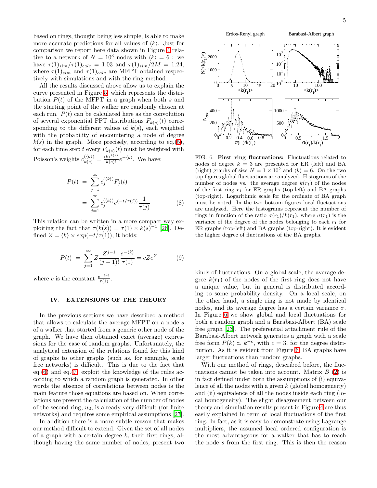based on rings, thought being less simple, is able to make more accurate predictions for all values of  $\langle k \rangle$ . Just for comparison we report here data shown in Figure [4](#page-4-1) relative to a network of  $N = 10^3$  nodes with  $\langle k \rangle = 6$ : we have  $\tau(1)_{sim}/\tau(1)_{calc} = 1.03$  and  $\tau(1)_{sim}/2M = 1.24$ , where  $\tau(1)_{sim}$  and  $\tau(1)_{calc}$  are MFPT obtained respectively with simulations and with the ring method.

All the results discussed above allow us to explain the curve presented in Figure [5,](#page-4-2) which represents the distribution  $P(t)$  of the MFPT in a graph when both s and the starting point of the walker are randomly chosen at each run.  $P(t)$  can be calculated here as the convolution of several exponential FPT distributions  $F_{k(s)}(t)$  corresponding to the different values of  $k(s)$ , each weighted with the probability of encountering a node of degree  $k(s)$  in the graph. More precisely, according to eq.[\(5\)](#page-3-3), for each time step t every  $F_{k(s)}(t)$  must be weighted with Poisson's weights  $c_{k(s)}^{(\langle k \rangle)} = \frac{\langle k \rangle^{k(s)}}{k(s)!} e^{-\langle k \rangle}$ . We have:

$$
P(t) = \sum_{j=1}^{\infty} c_j^{(\langle k \rangle)} F_j(t)
$$
  
= 
$$
\sum_{j=1}^{\infty} c_j^{(\langle k \rangle)} e^{(-t/\tau(j))} \frac{1}{\tau(j)}
$$
(8)

<span id="page-5-0"></span>This relation can be written in a more compact way exploiting the fact that  $\tau(k(s)) = \tau(1) \times k(s)^{-1}$  [\[26\]](#page-8-9). Defined  $Z = \langle k \rangle \times exp(-t/\tau(1))$ , it holds:

$$
P(t) = \sum_{j=1}^{\infty} Z \frac{Z^{j-1}}{(j-1)!} \frac{e^{-\langle k \rangle}}{\tau(1)} = cZe^{Z}
$$
 (9)

where c is the constant  $\frac{e^{-\langle k \rangle}}{\tau(1)}$ .

### IV. EXTENSIONS OF THE THEORY

In the previous sections we have described a method that allows to calculate the average MFPT on a node  $s$ of a walker that started from a generic other node of the graph. We have then obtained exact (average) expressions for the case of random graphs. Unfortunately, the analytical extension of the relations found for this kind of graphs to other graphs (such as, for example, scale free networks) is difficult. This is due to the fact that eq.[\(6\)](#page-3-0) and eq.[\(7\)](#page-3-1) exploit the knowledge of the rules according to which a random graph is generated. In other words the absence of correlations between nodes is the main feature those equations are based on. When correlations are present the calculation of the number of nodes of the second ring,  $n_2$ , is already very difficult (for finite networks) and requires some empirical assumptions [\[27\]](#page-8-8).

In addition there is a more subtle reason that makes our method difficult to extend. Given the set of all nodes of a graph with a certain degree  $k$ , their first rings, although having the same number of nodes, present two



<span id="page-5-1"></span>FIG. 6: First ring fluctuations: Fluctuations related to nodes of degree  $k = 3$  are presented for ER (left) and BA (right) graphs of size  $N = 1 \times 10^5$  and  $\langle k \rangle = 6$ . On the two top figures global fluctuations are analyzed. Histograms of the number of nodes vs. the average degree  $k(r_1)$  of the nodes of the first ring  $r_1$  for ER graphs (top-left) and BA graphs (top-right). Logarithmic scale for the ordinate of BA graph must be noted. In the two bottom figures local fluctuations are analyzed. Here the histograms represent the number of rings in function of the ratio  $\sigma(r_1)/k(r_1)$ , where  $\sigma(r_1)$  is the variance of the degree of the nodes belonging to each  $r_1$  for ER graphs (top-left) and BA graphs (top-right). It is evident the higher degree of fluctuations of the BA graphs.

kinds of fluctuations. On a global scale, the average degree  $k(r_1)$  of the nodes of the first ring does not have a unique value, but in general is distributed according to some probability density. On a local scale, on the other hand, a single ring is not made by identical nodes, and its average degree has a certain variance  $\sigma$ . In Figure [6](#page-5-1) we show global and local fluctuations for both a random graph and a Barabasi-Albert (BA) scale free graph [\[23](#page-8-3)]. The preferential attachment rule of the Barabasi-Albert network generates a graph with a scale free form  $P(k) \simeq k^{-c}$ , with  $c = 3$ , for the degree distribution. As it is evident from Figure [6,](#page-5-1) BA graphs have larger fluctuations than random graphs.

With our method of rings, described before, the fluctuations cannot be taken into account. Matrix  $B(2)$  $B(2)$  is in fact defined under both the assumptions of (i) equivalence of all the nodes with a given  $k$  (global homogeneity) and (ii) equivalence of all the nodes inside each ring (local homogeneity). The slight disagreement between our theory and simulation results present in Figure [4](#page-4-1) are thus easily explained in term of local fluctuations of the first ring. In fact, as it is easy to demonstrate using Lagrange multipliers, the assumed local ordered configuration is the most advantageous for a walker that has to reach the node s from the first ring. This is then the reason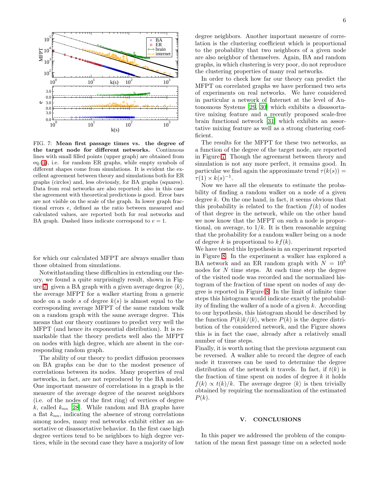

<span id="page-6-0"></span>FIG. 7: Mean first passage times vs. the degree of the target node for different networks. Continuous lines with small filled points (upper graph) are obtained from eq.[\(4\)](#page-2-3), i.e. for random ER graphs, while empty symbols of different shapes come from simulations. It is evident the excellent agreement between theory and simulations both for ER graphs (circles) and, less obviously, for BA graphs (squares). Data from real networks are also reported: also in this case the agreement with theoretical predictions is good. Error bars are not visible on the scale of the graph. In lower graph fractional errors e, defined as the ratio between measured and calculated values, are reported both for real networks and BA graph. Dashed lines indicate correspond to  $e = 1$ .

for which our calculated MFPT are always smaller than those obtained from simulations.

Notwithstanding these difficulties in extending our theory, we found a quite surprisingly result, shown in Fig-ure [7:](#page-6-0) given a BA graph with a given average degree  $\langle k \rangle$ , the average MFPT for a walker starting from a generic node on a node s of degree  $k(s)$  is almost equal to the corresponding average MFPT of the same random walk on a random graph with the same average degree. This means that our theory continues to predict very well the MFPT (and hence its exponential distribution). It is remarkable that the theory predicts well also the MFPT on nodes with high degree, which are absent in the corresponding random graph.

The ability of our theory to predict diffusion processes on BA graphs can be due to the modest presence of correlations between its nodes. Many properties of real networks, in fact, are not reproduced by the BA model. One important measure of correlations in a graph is the measure of the average degree of the nearest neighbors (i.e. of the nodes of the first ring) of vertices of degree k, called  $k_{nn}$  [\[28](#page-8-10)]. While random and BA graphs have a flat  $k_{nn}$ , indicating the absence of strong correlations among nodes, many real networks exhibit either an assortative or disassortative behavior. In the first case high degree vertices tend to be neighbors to high degree vertices, while in the second case they have a majority of low

degree neighbors. Another important measure of correlation is the clustering coefficient which is proportional to the probability that two neighbors of a given node are also neighbor of themselves. Again, BA and random graphs, in which clustering is very poor, do not reproduce the clustering properties of many real networks.

In order to check how far our theory can predict the MFPT on correlated graphs we have performed two sets of experiments on real networks. We have considered in particular a network of Internet at the level of Autonomous Systems [\[29](#page-8-11), [30\]](#page-8-12) which exhibits a disassortative mixing feature and a recently proposed scale-free brain functional network [\[31](#page-8-13)] which exhibits an assortative mixing feature as well as a strong clustering coefficient.

The results for the MFPT for these two networks, as a function of the degree of the target node, are reported in Figure [7.](#page-6-0) Though the agreement between theory and simulation is not any more perfect, it remains good. In particular we find again the approximate trend  $\tau(k(s)) =$  $\tau(1) \times k(s)^{-1}$ .

Now we have all the elements to estimate the probability of finding a random walker on a node of a given degree  $k$ . On the one hand, in fact, it seems obvious that this probability is related to the fraction  $f(k)$  of nodes of that degree in the network, while on the other hand we now know that the MFPT on such a node is proportional, on average, to  $1/k$ . It is then reasonable arguing that the probability for a random walker being on a node of degree k is proportional to  $kf(k)$ .

We have tested this hypothesis in an experiment reported in Figure [8.](#page-7-19) In the experiment a walker has explored a BA network and an ER random graph with  $N = 10^5$ nodes for N time steps. At each time step the degree of the visited node was recorded and the normalized histogram of the fraction of time spent on nodes of any degree is reported in Figure [8.](#page-7-19) In the limit of infinite time steps this histogram would indicate exactly the probability of finding the walker of a node of a given k. According to our hypothesis, this histogram should be described by the function  $P(k)k/\langle k \rangle$ , where  $P(k)$  is the degree distribution of the considered network, and the Figure shows this is in fact the case, already after a relatively small number of time steps.

Finally, it is worth noting that the previous argument can be reversed. A walker able to record the degree of each node it traverses can be used to determine the degree distribution of the network it travels. In fact, if  $t(k)$  is the fraction of time spent on nodes of degree  $k$  it holds  $f(k) \propto t(k)/k$ . The average degree  $\langle k \rangle$  is then trivially obtained by requiring the normalization of the estimated  $P(k)$ .

### V. CONCLUSIONS

In this paper we addressed the problem of the computation of the mean first passage time on a selected node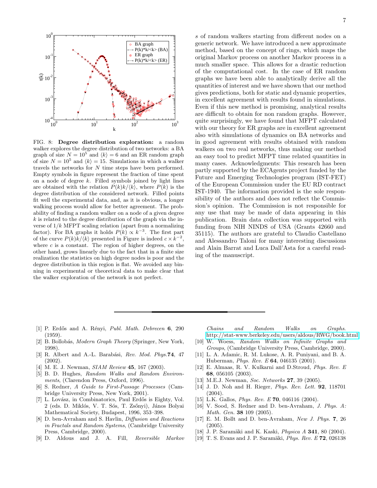

<span id="page-7-19"></span>FIG. 8: Degree distribution exploration: a random walker explores the degree distribution of two networks: a BA graph of size  $N = 10^5$  and  $\langle k \rangle = 6$  and an ER random graph of size  $N = 10^5$  and  $\langle k \rangle = 15$ . Simulations in which a walker travels the networks for N time steps have been performed. Empty symbols in figure represent the fraction of time spent on a node of degree  $k$ . Filled symbols joined by light lines are obtained with the relation  $P(k)k/\langle k \rangle$ , where  $P(k)$  is the degree distribution of the considered network. Filled points fit well the experimental data, and, as it is obvious, a longer walking process would allow for better agreement. The probability of finding a random walker on a node of a given degree  $k$  is related to the degree distribution of the graph via the inverse of  $1/k$  MFPT scaling relation (apart from a normalizing factor). For BA graphs it holds  $P(k) \propto k^{-3}$ . The first part of the curve  $P(k)\vec{k} / \langle \vec{k} \rangle$  presented in Figure is indeed  $c \times \vec{k}^{-2}$ , where  $c$  is a constant. The region of higher degrees, on the other hand, grows linearly due to the fact that in a finite size realization the statistics on high degree nodes is poor and the degree distribution in this region is flat. We avoided any binning in experimental or theoretical data to make clear that the walker exploration of the network is not perfect.

s of random walkers starting from different nodes on a generic network. We have introduced a new approximate method, based on the concept of rings, which maps the original Markov process on another Markov process in a much smaller space. This allows for a drastic reduction of the computational cost. In the case of ER random graphs we have been able to analytically derive all the quantities of interest and we have shown that our method gives predictions, both for static and dynamic properties, in excellent agreement with results found in simulations. Even if this new method is promising, analytical results are difficult to obtain for non random graphs. However, quite surprisingly, we have found that MFPT calculated with our theory for ER graphs are in excellent agreement also with simulations of dynamics on BA networks and in good agreement with results obtained with random walkers on two real networks, thus making our method an easy tool to predict MFPT time related quantities in many cases. Acknowledgments: This research has been partly supported by the ECAgents project funded by the Future and Emerging Technologies program (IST-FET) of the European Commission under the EU RD contract IST-1940. The information provided is the sole responsibility of the authors and does not reflect the Commission's opinion. The Commission is not responsible for any use that may be made of data appearing in this publication. Brain data collection was supported with funding from NIH NINDS of USA (Grants 42660 and 35115). The authors are grateful to Claudio Castellano and Alessandro Taloni for many interesting discussions and Alain Barrat and Luca Dall'Asta for a careful reading of the manuscript.

- <span id="page-7-0"></span>[1] P. Erdős and A. Rényi, *Publ. Math. Debrecen* 6, 290  $(1959)$
- <span id="page-7-1"></span>[2] B. Bollobás, *Modern Graph Theory* (Springer, New York, 1998).
- <span id="page-7-2"></span>[3] R. Albert and A.-L. Barabási, *Rev. Mod. Phys.*74, 47 (2002).
- <span id="page-7-3"></span>[4] M. E. J. Newman, *SIAM Review* 45, 167 (2003).
- <span id="page-7-4"></span>[5] B. D. Hughes, *Random Walks and Random Environments*, (Clarendon Press, Oxford, 1996).
- <span id="page-7-5"></span>[6] S. Redner, *A Guide to First-Passage Processes* (Cambridge University Press, New York, 2001).
- <span id="page-7-6"></span>[7] L. Lovász, in Combinatorics, Paul Erdős is Eighty, Vol. 2 (eds. D. Miklós, V. T. Sós, T. Zsőnyi), János Bolyai Mathematical Society, Budapest, 1996, 353–398.
- <span id="page-7-7"></span>[8] D. ben-Avraham and S. Havlin, *Diffusion and Reactions in Fractals and Random Systems*, (Cambridge University Press, Cambridge, 2000).
- <span id="page-7-8"></span>[9] D. Aldous and J. A. Fill, *Reversible Markov*

*Chains and Random Walks on Graphs*. [http://stat-www.berkeley.edu/users/aldous/RWG/book.html.](http://stat-www.berkeley.edu/users/aldous/RWG/book.html)

- <span id="page-7-9"></span>[10] W. Woess, *Random Walks on Infinite Graphs and Groups*, (Cambridge University Press, Cambridge, 2000).
- <span id="page-7-10"></span>[11] L. A. Adamic, R. M. Lukose, A. R. Puniyani, and B. A. Huberman, *Phys. Rev. E* 64, 046135 (2001).
- <span id="page-7-11"></span>[12] E. Almaas, R. V. Kulkarni and D.Stroud, *Phys. Rev. E* 68, 056105 (2003).
- <span id="page-7-12"></span>[13] M.E.J. Newman, *Soc. Networks* 27, 39 (2005).
- <span id="page-7-13"></span>[14] J. D. Noh and H. Rieger, *Phys. Rev. Lett.* 92, 118701 (2004).
- <span id="page-7-14"></span>[15] L.K. Gallos, *Phys. Rev. E* 70, 046116 (2004).
- <span id="page-7-15"></span>[16] V. Sood, S. Redner and D. ben-Avraham, *J. Phys. A: Math. Gen.* 38 109 (2005).
- <span id="page-7-16"></span>[17] E. M. Bollt and D. ben-Avraham, *New J. Phys.* 7, 26 (2005).
- <span id="page-7-17"></span>[18] J. P. Saramäki and K. Kaski, *Physica A* **341**, 80 (2004).
- <span id="page-7-18"></span>[19] T. S. Evans and J. P. Saramäki, *Phys. Rev. E* **72**, 026138